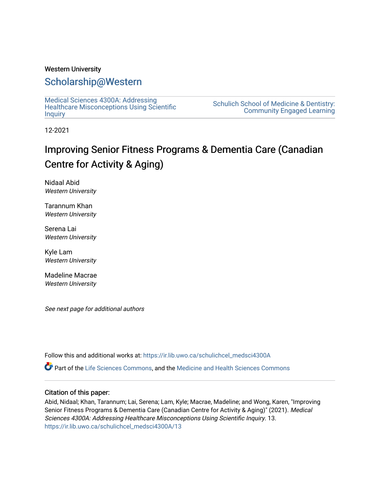### Western University

### [Scholarship@Western](https://ir.lib.uwo.ca/)

[Medical Sciences 4300A: Addressing](https://ir.lib.uwo.ca/schulichcel_medsci4300A)  [Healthcare Misconceptions Using Scientific](https://ir.lib.uwo.ca/schulichcel_medsci4300A) **[Inquiry](https://ir.lib.uwo.ca/schulichcel_medsci4300A)** 

[Schulich School of Medicine & Dentistry:](https://ir.lib.uwo.ca/schulichcel)  [Community Engaged Learning](https://ir.lib.uwo.ca/schulichcel) 

12-2021

### Improving Senior Fitness Programs & Dementia Care (Canadian Centre for Activity & Aging)

Nidaal Abid Western University

Tarannum Khan Western University

Serena Lai Western University

Kyle Lam Western University

Madeline Macrae Western University

See next page for additional authors

Follow this and additional works at: [https://ir.lib.uwo.ca/schulichcel\\_medsci4300A](https://ir.lib.uwo.ca/schulichcel_medsci4300A?utm_source=ir.lib.uwo.ca%2Fschulichcel_medsci4300A%2F13&utm_medium=PDF&utm_campaign=PDFCoverPages)

Part of the [Life Sciences Commons,](http://network.bepress.com/hgg/discipline/1016?utm_source=ir.lib.uwo.ca%2Fschulichcel_medsci4300A%2F13&utm_medium=PDF&utm_campaign=PDFCoverPages) and the [Medicine and Health Sciences Commons](http://network.bepress.com/hgg/discipline/648?utm_source=ir.lib.uwo.ca%2Fschulichcel_medsci4300A%2F13&utm_medium=PDF&utm_campaign=PDFCoverPages)

### Citation of this paper:

Abid, Nidaal; Khan, Tarannum; Lai, Serena; Lam, Kyle; Macrae, Madeline; and Wong, Karen, "Improving Senior Fitness Programs & Dementia Care (Canadian Centre for Activity & Aging)" (2021). Medical Sciences 4300A: Addressing Healthcare Misconceptions Using Scientific Inquiry. 13. [https://ir.lib.uwo.ca/schulichcel\\_medsci4300A/13](https://ir.lib.uwo.ca/schulichcel_medsci4300A/13?utm_source=ir.lib.uwo.ca%2Fschulichcel_medsci4300A%2F13&utm_medium=PDF&utm_campaign=PDFCoverPages)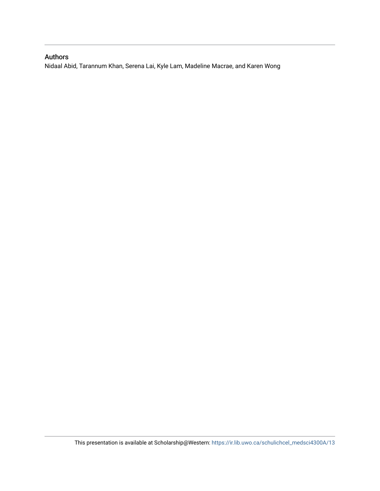### Authors

Nidaal Abid, Tarannum Khan, Serena Lai, Kyle Lam, Madeline Macrae, and Karen Wong